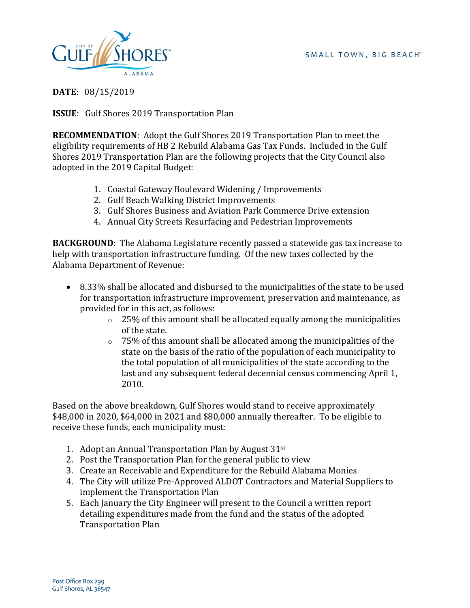

**DATE**: 08/15/2019

**ISSUE**: Gulf Shores 2019 Transportation Plan

**RECOMMENDATION**: Adopt the Gulf Shores 2019 Transportation Plan to meet the eligibility requirements of HB 2 Rebuild Alabama Gas Tax Funds. Included in the Gulf Shores 2019 Transportation Plan are the following projects that the City Council also adopted in the 2019 Capital Budget:

- 1. Coastal Gateway Boulevard Widening / Improvements
- 2. Gulf Beach Walking District Improvements
- 3. Gulf Shores Business and Aviation Park Commerce Drive extension
- 4. Annual City Streets Resurfacing and Pedestrian Improvements

**BACKGROUND:** The Alabama Legislature recently passed a statewide gas tax increase to help with transportation infrastructure funding. Of the new taxes collected by the Alabama Department of Revenue:

- 8.33% shall be allocated and disbursed to the municipalities of the state to be used for transportation infrastructure improvement, preservation and maintenance, as provided for in this act, as follows:
	- $\degree$  25% of this amount shall be allocated equally among the municipalities of the state.
	- $\circ$  75% of this amount shall be allocated among the municipalities of the state on the basis of the ratio of the population of each municipality to the total population of all municipalities of the state according to the last and any subsequent federal decennial census commencing April 1, 2010.

Based on the above breakdown, Gulf Shores would stand to receive approximately \$48,000 in 2020, \$64,000 in 2021 and \$80,000 annually thereafter. To be eligible to receive these funds, each municipality must:

- 1. Adopt an Annual Transportation Plan by August 31st
- 2. Post the Transportation Plan for the general public to view
- 3. Create an Receivable and Expenditure for the Rebuild Alabama Monies
- 4. The City will utilize Pre-Approved ALDOT Contractors and Material Suppliers to implement the Transportation Plan
- 5. Each January the City Engineer will present to the Council a written report detailing expenditures made from the fund and the status of the adopted Transportation Plan